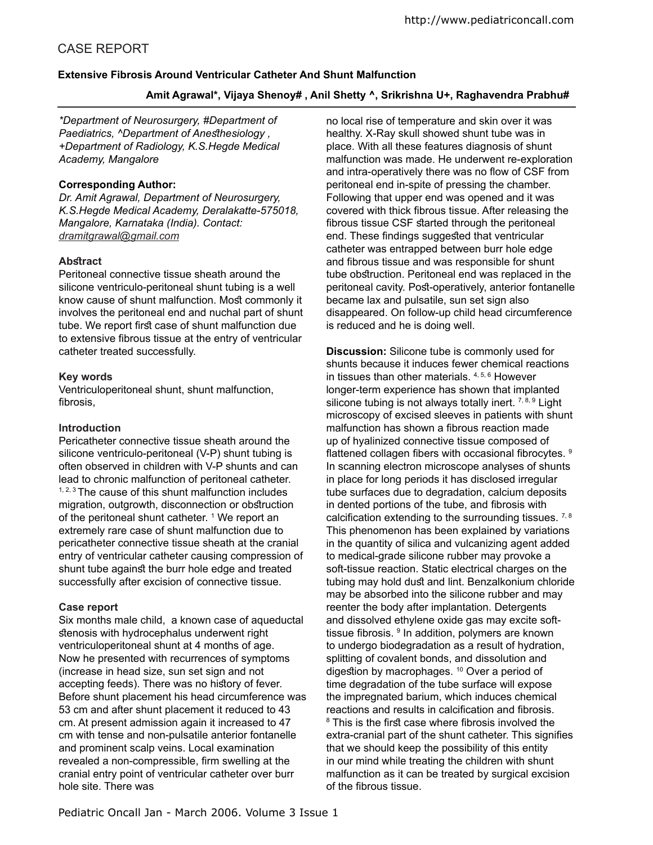# CASE REPORT

# **Extensive Fibrosis Around Ventricular Catheter And Shunt Malfunction**

# **Amit Agrawal\*, Vijaya Shenoy# , Anil Shetty ^, Srikrishna U+, Raghavendra Prabhu#**

*\*Department of Neurosurgery, #Department of Paediatrics, ^Department of Anethesiology , +Department of Radiology, K.S.Hegde Medical Academy, Mangalore* 

#### **Corresponding Author:**

*Dr. Amit Agrawal, Department of Neurosurgery, K.S.Hegde Medical Academy, Deralakatte-575018, Mangalore, Karnataka (India). Contact: dramitgrawal@gmail.com*

## **Abstract**

Peritoneal connective tissue sheath around the silicone ventriculo-peritoneal shunt tubing is a well know cause of shunt malfunction. Most commonly it involves the peritoneal end and nuchal part of shunt tube. We report first case of shunt malfunction due to extensive fibrous tissue at the entry of ventricular catheter treated successfully.

## **Key words**

Ventriculoperitoneal shunt, shunt malfunction, fibrosis,

#### **Introduction**

Pericatheter connective tissue sheath around the silicone ventriculo-peritoneal (V-P) shunt tubing is often observed in children with V-P shunts and can lead to chronic malfunction of peritoneal catheter.  $1, 2, 3$  The cause of this shunt malfunction includes migration, outgrowth, disconnection or obstruction of the peritoneal shunt catheter. <sup>1</sup> We report an extremely rare case of shunt malfunction due to pericatheter connective tissue sheath at the cranial entry of ventricular catheter causing compression of shunt tube against the burr hole edge and treated successfully after excision of connective tissue.

#### **Case report**

Six months male child, a known case of aqueductal stenosis with hydrocephalus underwent right ventriculoperitoneal shunt at 4 months of age. Now he presented with recurrences of symptoms (increase in head size, sun set sign and not accepting feeds). There was no history of fever. Before shunt placement his head circumference was 53 cm and after shunt placement it reduced to 43 cm. At present admission again it increased to 47 cm with tense and non-pulsatile anterior fontanelle and prominent scalp veins. Local examination revealed a non-compressible, firm swelling at the cranial entry point of ventricular catheter over burr hole site. There was

no local rise of temperature and skin over it was healthy. X-Ray skull showed shunt tube was in place. With all these features diagnosis of shunt malfunction was made. He underwent re-exploration and intra-operatively there was no flow of CSF from peritoneal end in-spite of pressing the chamber. Following that upper end was opened and it was covered with thick fibrous tissue. After releasing the fibrous tissue CSF started through the peritoneal end. These findings suggested that ventricular catheter was entrapped between burr hole edge and fibrous tissue and was responsible for shunt tube obstruction. Peritoneal end was replaced in the peritoneal cavity. Post-operatively, anterior fontanelle became lax and pulsatile, sun set sign also disappeared. On follow-up child head circumference is reduced and he is doing well.

**Discussion:** Silicone tube is commonly used for shunts because it induces fewer chemical reactions in tissues than other materials. 4, 5, 6 However longer-term experience has shown that implanted silicone tubing is not always totally inert.  $7, 8, 9$  Light microscopy of excised sleeves in patients with shunt malfunction has shown a fibrous reaction made up of hyalinized connective tissue composed of flattened collagen fibers with occasional fibrocytes.  $9$ In scanning electron microscope analyses of shunts in place for long periods it has disclosed irregular tube surfaces due to degradation, calcium deposits in dented portions of the tube, and fibrosis with calcification extending to the surrounding tissues.  $7,8$ This phenomenon has been explained by variations in the quantity of silica and vulcanizing agent added to medical-grade silicone rubber may provoke a soft-tissue reaction. Static electrical charges on the tubing may hold dust and lint. Benzalkonium chloride may be absorbed into the silicone rubber and may reenter the body after implantation. Detergents and dissolved ethylene oxide gas may excite softtissue fibrosis. <sup>9</sup> In addition, polymers are known to undergo biodegradation as a result of hydration, splitting of covalent bonds, and dissolution and digestion by macrophages. <sup>10</sup> Over a period of time degradation of the tube surface will expose the impregnated barium, which induces chemical reactions and results in calcification and fibrosis.  $^{\rm 8}$  This is the first case where fibrosis involved the extra-cranial part of the shunt catheter. This signifies that we should keep the possibility of this entity in our mind while treating the children with shunt malfunction as it can be treated by surgical excision of the ibrous tissue.